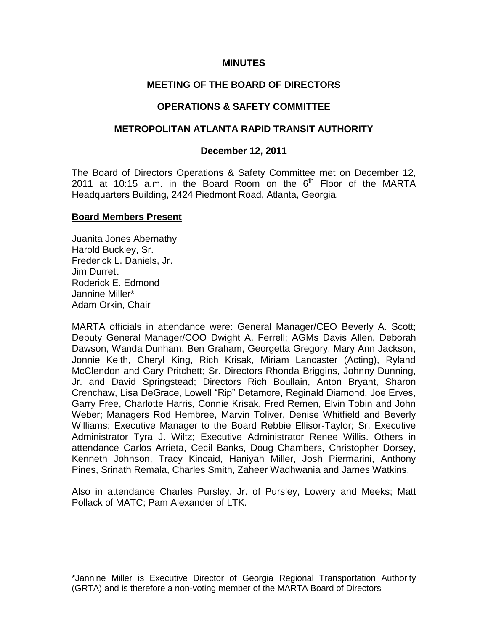## **MINUTES**

# **MEETING OF THE BOARD OF DIRECTORS**

## **OPERATIONS & SAFETY COMMITTEE**

#### **METROPOLITAN ATLANTA RAPID TRANSIT AUTHORITY**

#### **December 12, 2011**

The Board of Directors Operations & Safety Committee met on December 12, 2011 at 10:15 a.m. in the Board Room on the  $6<sup>th</sup>$  Floor of the MARTA Headquarters Building, 2424 Piedmont Road, Atlanta, Georgia.

#### **Board Members Present**

Juanita Jones Abernathy Harold Buckley, Sr. Frederick L. Daniels, Jr. Jim Durrett Roderick E. Edmond Jannine Miller\* Adam Orkin, Chair

MARTA officials in attendance were: General Manager/CEO Beverly A. Scott; Deputy General Manager/COO Dwight A. Ferrell; AGMs Davis Allen, Deborah Dawson, Wanda Dunham, Ben Graham, Georgetta Gregory, Mary Ann Jackson, Jonnie Keith, Cheryl King, Rich Krisak, Miriam Lancaster (Acting), Ryland McClendon and Gary Pritchett; Sr. Directors Rhonda Briggins, Johnny Dunning, Jr. and David Springstead; Directors Rich Boullain, Anton Bryant, Sharon Crenchaw, Lisa DeGrace, Lowell "Rip" Detamore, Reginald Diamond, Joe Erves, Garry Free, Charlotte Harris, Connie Krisak, Fred Remen, Elvin Tobin and John Weber; Managers Rod Hembree, Marvin Toliver, Denise Whitfield and Beverly Williams; Executive Manager to the Board Rebbie Ellisor-Taylor; Sr. Executive Administrator Tyra J. Wiltz; Executive Administrator Renee Willis. Others in attendance Carlos Arrieta, Cecil Banks, Doug Chambers, Christopher Dorsey, Kenneth Johnson, Tracy Kincaid, Haniyah Miller, Josh Piermarini, Anthony Pines, Srinath Remala, Charles Smith, Zaheer Wadhwania and James Watkins.

Also in attendance Charles Pursley, Jr. of Pursley, Lowery and Meeks; Matt Pollack of MATC; Pam Alexander of LTK.

\*Jannine Miller is Executive Director of Georgia Regional Transportation Authority (GRTA) and is therefore a non-voting member of the MARTA Board of Directors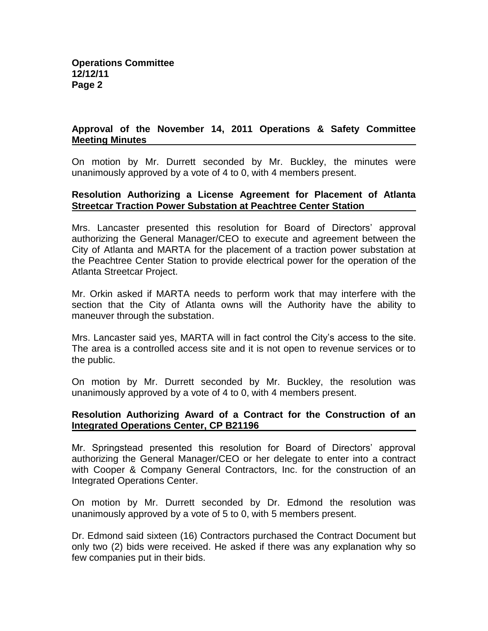# **Approval of the November 14, 2011 Operations & Safety Committee Meeting Minutes**

On motion by Mr. Durrett seconded by Mr. Buckley, the minutes were unanimously approved by a vote of 4 to 0, with 4 members present.

#### **Resolution Authorizing a License Agreement for Placement of Atlanta Streetcar Traction Power Substation at Peachtree Center Station**

Mrs. Lancaster presented this resolution for Board of Directors' approval authorizing the General Manager/CEO to execute and agreement between the City of Atlanta and MARTA for the placement of a traction power substation at the Peachtree Center Station to provide electrical power for the operation of the Atlanta Streetcar Project.

Mr. Orkin asked if MARTA needs to perform work that may interfere with the section that the City of Atlanta owns will the Authority have the ability to maneuver through the substation.

Mrs. Lancaster said yes, MARTA will in fact control the City's access to the site. The area is a controlled access site and it is not open to revenue services or to the public.

On motion by Mr. Durrett seconded by Mr. Buckley, the resolution was unanimously approved by a vote of 4 to 0, with 4 members present.

#### **Resolution Authorizing Award of a Contract for the Construction of an Integrated Operations Center, CP B21196**

Mr. Springstead presented this resolution for Board of Directors' approval authorizing the General Manager/CEO or her delegate to enter into a contract with Cooper & Company General Contractors, Inc. for the construction of an Integrated Operations Center.

On motion by Mr. Durrett seconded by Dr. Edmond the resolution was unanimously approved by a vote of 5 to 0, with 5 members present.

Dr. Edmond said sixteen (16) Contractors purchased the Contract Document but only two (2) bids were received. He asked if there was any explanation why so few companies put in their bids.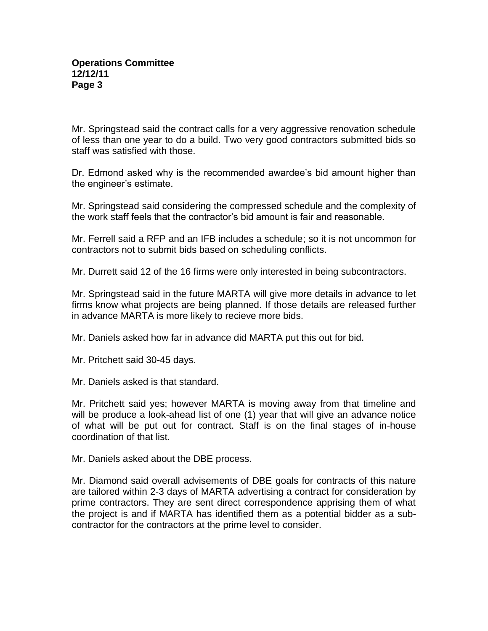Mr. Springstead said the contract calls for a very aggressive renovation schedule of less than one year to do a build. Two very good contractors submitted bids so staff was satisfied with those.

Dr. Edmond asked why is the recommended awardee's bid amount higher than the engineer's estimate.

Mr. Springstead said considering the compressed schedule and the complexity of the work staff feels that the contractor's bid amount is fair and reasonable.

Mr. Ferrell said a RFP and an IFB includes a schedule; so it is not uncommon for contractors not to submit bids based on scheduling conflicts.

Mr. Durrett said 12 of the 16 firms were only interested in being subcontractors.

Mr. Springstead said in the future MARTA will give more details in advance to let firms know what projects are being planned. If those details are released further in advance MARTA is more likely to recieve more bids.

Mr. Daniels asked how far in advance did MARTA put this out for bid.

Mr. Pritchett said 30-45 days.

Mr. Daniels asked is that standard.

Mr. Pritchett said yes; however MARTA is moving away from that timeline and will be produce a look-ahead list of one (1) year that will give an advance notice of what will be put out for contract. Staff is on the final stages of in-house coordination of that list.

Mr. Daniels asked about the DBE process.

Mr. Diamond said overall advisements of DBE goals for contracts of this nature are tailored within 2-3 days of MARTA advertising a contract for consideration by prime contractors. They are sent direct correspondence apprising them of what the project is and if MARTA has identified them as a potential bidder as a subcontractor for the contractors at the prime level to consider.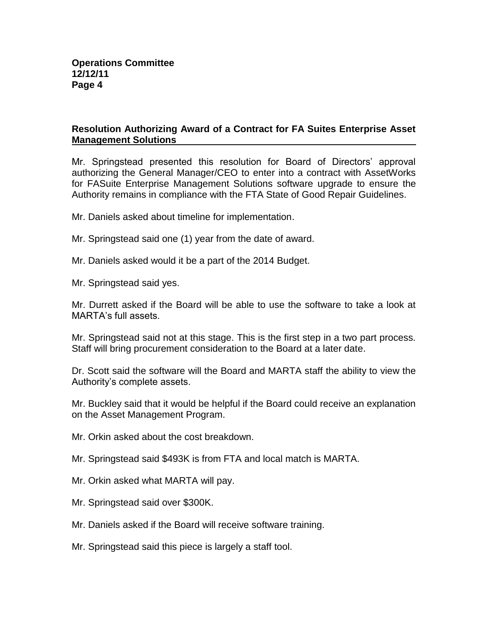# **Resolution Authorizing Award of a Contract for FA Suites Enterprise Asset Management Solutions**

Mr. Springstead presented this resolution for Board of Directors' approval authorizing the General Manager/CEO to enter into a contract with AssetWorks for FASuite Enterprise Management Solutions software upgrade to ensure the Authority remains in compliance with the FTA State of Good Repair Guidelines.

Mr. Daniels asked about timeline for implementation.

- Mr. Springstead said one (1) year from the date of award.
- Mr. Daniels asked would it be a part of the 2014 Budget.
- Mr. Springstead said yes.

Mr. Durrett asked if the Board will be able to use the software to take a look at MARTA's full assets.

Mr. Springstead said not at this stage. This is the first step in a two part process. Staff will bring procurement consideration to the Board at a later date.

Dr. Scott said the software will the Board and MARTA staff the ability to view the Authority's complete assets.

Mr. Buckley said that it would be helpful if the Board could receive an explanation on the Asset Management Program.

Mr. Orkin asked about the cost breakdown.

Mr. Springstead said \$493K is from FTA and local match is MARTA.

- Mr. Orkin asked what MARTA will pay.
- Mr. Springstead said over \$300K.
- Mr. Daniels asked if the Board will receive software training.
- Mr. Springstead said this piece is largely a staff tool.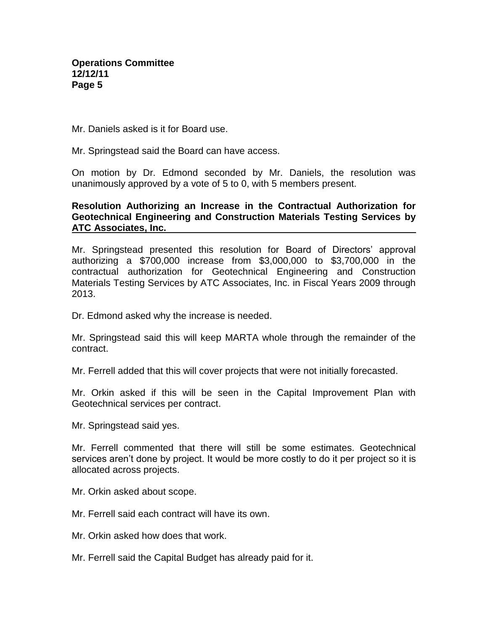Mr. Daniels asked is it for Board use.

Mr. Springstead said the Board can have access.

On motion by Dr. Edmond seconded by Mr. Daniels, the resolution was unanimously approved by a vote of 5 to 0, with 5 members present.

## **Resolution Authorizing an Increase in the Contractual Authorization for Geotechnical Engineering and Construction Materials Testing Services by ATC Associates, Inc.**

Mr. Springstead presented this resolution for Board of Directors' approval authorizing a \$700,000 increase from \$3,000,000 to \$3,700,000 in the contractual authorization for Geotechnical Engineering and Construction Materials Testing Services by ATC Associates, Inc. in Fiscal Years 2009 through 2013.

Dr. Edmond asked why the increase is needed.

Mr. Springstead said this will keep MARTA whole through the remainder of the contract.

Mr. Ferrell added that this will cover projects that were not initially forecasted.

Mr. Orkin asked if this will be seen in the Capital Improvement Plan with Geotechnical services per contract.

Mr. Springstead said yes.

Mr. Ferrell commented that there will still be some estimates. Geotechnical services aren't done by project. It would be more costly to do it per project so it is allocated across projects.

Mr. Orkin asked about scope.

Mr. Ferrell said each contract will have its own.

Mr. Orkin asked how does that work.

Mr. Ferrell said the Capital Budget has already paid for it.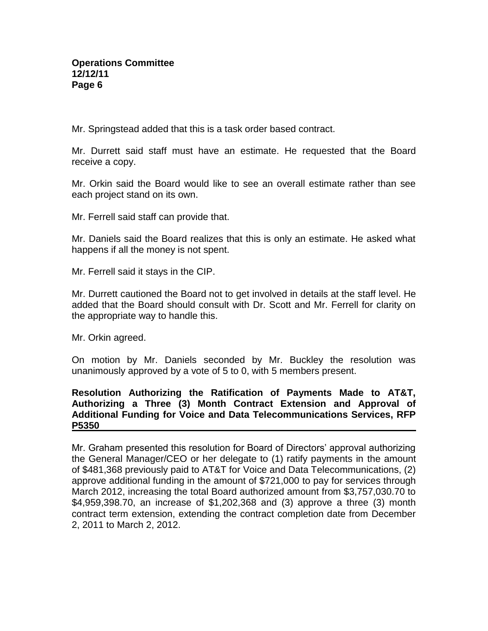Mr. Springstead added that this is a task order based contract.

Mr. Durrett said staff must have an estimate. He requested that the Board receive a copy.

Mr. Orkin said the Board would like to see an overall estimate rather than see each project stand on its own.

Mr. Ferrell said staff can provide that.

Mr. Daniels said the Board realizes that this is only an estimate. He asked what happens if all the money is not spent.

Mr. Ferrell said it stays in the CIP.

Mr. Durrett cautioned the Board not to get involved in details at the staff level. He added that the Board should consult with Dr. Scott and Mr. Ferrell for clarity on the appropriate way to handle this.

Mr. Orkin agreed.

On motion by Mr. Daniels seconded by Mr. Buckley the resolution was unanimously approved by a vote of 5 to 0, with 5 members present.

## **Resolution Authorizing the Ratification of Payments Made to AT&T, Authorizing a Three (3) Month Contract Extension and Approval of Additional Funding for Voice and Data Telecommunications Services, RFP P5350**

Mr. Graham presented this resolution for Board of Directors' approval authorizing the General Manager/CEO or her delegate to (1) ratify payments in the amount of \$481,368 previously paid to AT&T for Voice and Data Telecommunications, (2) approve additional funding in the amount of \$721,000 to pay for services through March 2012, increasing the total Board authorized amount from \$3,757,030.70 to \$4,959,398.70, an increase of \$1,202,368 and (3) approve a three (3) month contract term extension, extending the contract completion date from December 2, 2011 to March 2, 2012.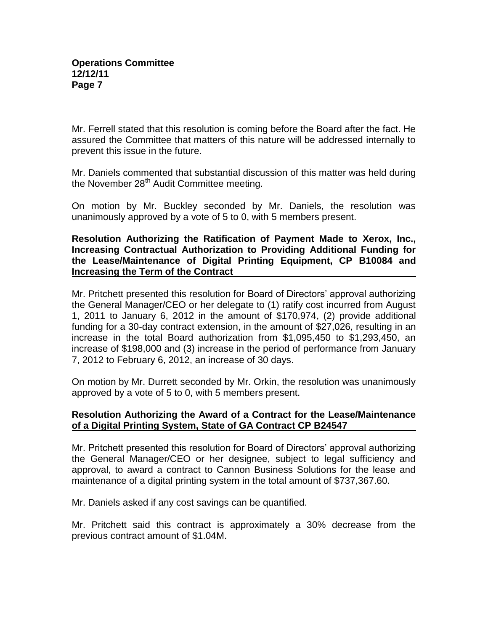Mr. Ferrell stated that this resolution is coming before the Board after the fact. He assured the Committee that matters of this nature will be addressed internally to prevent this issue in the future.

Mr. Daniels commented that substantial discussion of this matter was held during the November 28<sup>th</sup> Audit Committee meeting.

On motion by Mr. Buckley seconded by Mr. Daniels, the resolution was unanimously approved by a vote of 5 to 0, with 5 members present.

**Resolution Authorizing the Ratification of Payment Made to Xerox, Inc., Increasing Contractual Authorization to Providing Additional Funding for the Lease/Maintenance of Digital Printing Equipment, CP B10084 and Increasing the Term of the Contract**

Mr. Pritchett presented this resolution for Board of Directors' approval authorizing the General Manager/CEO or her delegate to (1) ratify cost incurred from August 1, 2011 to January 6, 2012 in the amount of \$170,974, (2) provide additional funding for a 30-day contract extension, in the amount of \$27,026, resulting in an increase in the total Board authorization from \$1,095,450 to \$1,293,450, an increase of \$198,000 and (3) increase in the period of performance from January 7, 2012 to February 6, 2012, an increase of 30 days.

On motion by Mr. Durrett seconded by Mr. Orkin, the resolution was unanimously approved by a vote of 5 to 0, with 5 members present.

# **Resolution Authorizing the Award of a Contract for the Lease/Maintenance of a Digital Printing System, State of GA Contract CP B24547**

Mr. Pritchett presented this resolution for Board of Directors' approval authorizing the General Manager/CEO or her designee, subject to legal sufficiency and approval, to award a contract to Cannon Business Solutions for the lease and maintenance of a digital printing system in the total amount of \$737,367.60.

Mr. Daniels asked if any cost savings can be quantified.

Mr. Pritchett said this contract is approximately a 30% decrease from the previous contract amount of \$1.04M.